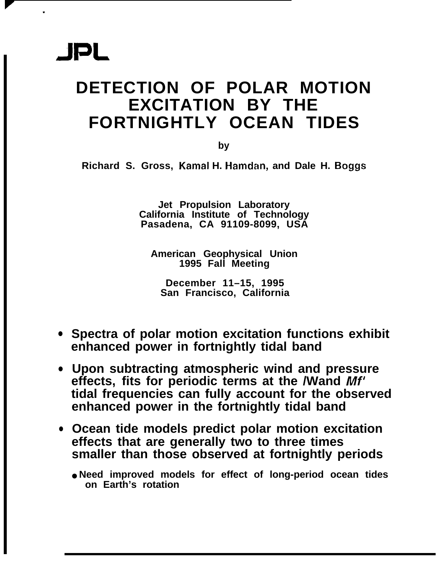.

### **DETECTION OF POLAR MOTION EXCITATION BY THE FORTNIGHTLY OCEAN TIDES**

**by**

**Richard S. Gross, Kamal H. Hamdan, and Dale H. Boggs**

**Jet Propulsion Laboratory California Institute of Technology Pasadena, CA 91109-8099, USA**

**American Geophysical Union 1995 Fall Meeting**

**December 11–15, 1995 San Francisco, California**

- **Spectra of polar motion excitation functions exhibit enhanced power in fortnightly tidal band**
- **Upon subtracting atmospheric wind and pressure effects, fits for periodic terms at the /Wand** *Mf'* **tidal frequencies can fully account for the observed enhanced power in the fortnightly tidal band**
- **Ocean tide models predict polar motion excitation effects that are generally two to three times smaller than those observed at fortnightly periods**
	- **Need improved models for effect of long-period ocean tides on Earth's rotation**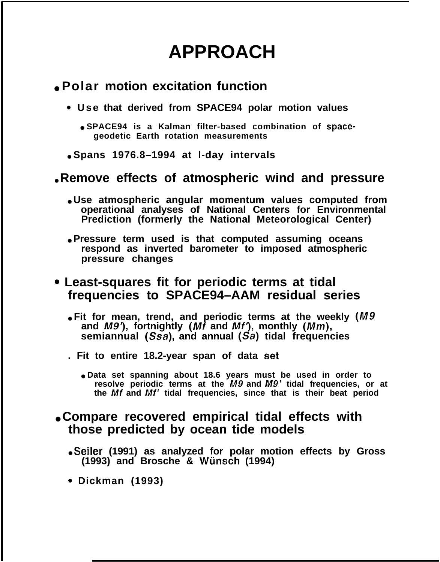### **APPROACH**

#### ● **Polar motion excitation function**

- **" Use that derived from SPACE94 polar motion values**
	- **SPACE94 is a Kalman filter-based combination of spacegeodetic Earth rotation measurements**
- **Spans 1976.8–1994 at l-day intervals**

#### **. Remove effects of atmospheric wind and pressure**

- **Use atmospheric angular momentum values computed from operational analyses of National Centers for Environmental Prediction (formerly the National Meteorological Center)**
- **Pressure term used is that computed assuming oceans respond as inverted barometer to imposed atmospheric pressure changes**

#### **<sup>c</sup> Least-squares fit for periodic terms at tidal frequencies to SPACE94–AAM residual series**

- $\bullet$  Fit for mean, trend, and periodic terms at the weekly  $(M9)$ **and /1#9'), fortnightly (Mf and Mf'), monthly (Mm), semiannual (Ssa), and annual (Sa) tidal frequencies**
- **. Fit to entire 18.2-year span of data set**
	- **Data set spanning about 18.6 years must be used in order to resolve periodic terms at the M9 and M9' tidal frequencies, or at the Mf and Mf' tidal frequencies, since that is their beat period**

#### ● **Compare recovered empirical tidal effects with those predicted by ocean tide models**

- **Seiler (1991) as analyzed for polar motion effects by Gross (1993) and Brosche & Wunsch (1994)**
- **" Dickman (1993)**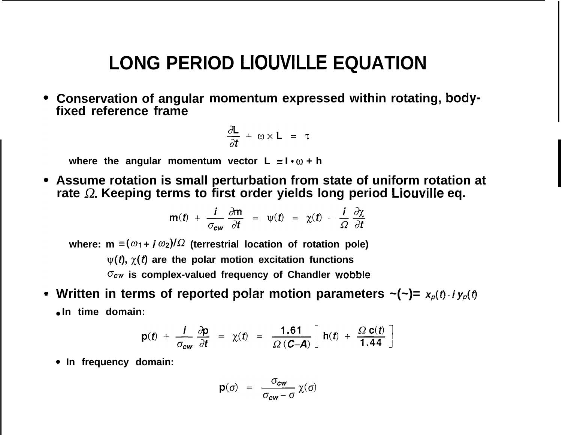### **LONG PERIOD LIOUVILLE EQUATION**

**Conservation of angular momentum expressed within rotating, bodyfixed reference frame**

$$
\frac{\partial L}{\partial t} + \omega \times L = \tau
$$

where the angular momentum vector  $L = \mathbf{I} \cdot \omega + \mathbf{h}$ 

**Assume rotation is small perturbation from state of uniform rotation at rate Q. Keeping terms to first order yields long period Liouville eq.**

$$
\mathbf{m}(t) + \frac{i}{\sigma_{cw}} \frac{\partial \mathbf{m}}{\partial t} = \psi(t) = \chi(t) - \frac{i}{\Omega} \frac{\partial \chi}{\partial t}
$$

where:  $m \equiv (\omega_1 + i \omega_2)/\Omega$  (terrestrial location of rotation pole)  $\psi(t)$ ,  $\chi(t)$  are the polar motion excitation functions  $\sigma_{cw}$  is complex-valued frequency of Chandler wobble

• Written in terms of reported polar motion parameters  $\sim (-) = x_p(t) \cdot i y_p(t)$ ● **In time domain:**

$$
p(t) + \frac{i}{\sigma_{cw}} \frac{\partial p}{\partial t} = \chi(t) = \frac{1.61}{\Omega (C-A)} \left[ h(t) + \frac{\Omega c(t)}{1.44} \right]
$$

**" In frequency domain:**

$$
\mathbf{p}(\sigma) = \frac{\sigma_{cw}}{\sigma_{cw} - \sigma} \chi(\sigma)
$$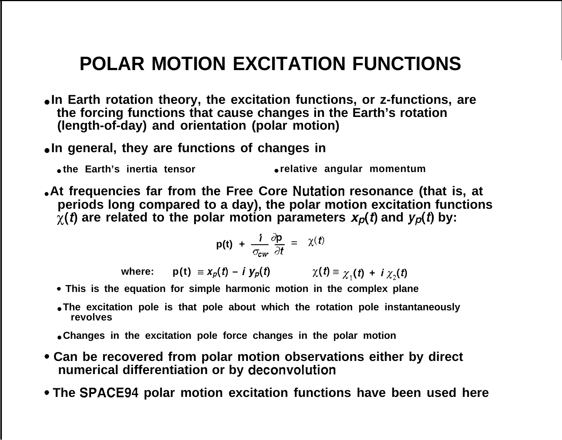# **POLAR MOTION EXCITATION FUNCTIONS**

- **In Earth rotation theory, the excitation functions, or z-functions, are the forcing functions that cause changes in the Earth's rotation (length-of-day) and orientation (polar motion)**
- **In general, they are functions of changes in**
	- **the Earth's inertia tensor relative angular momentum**
- **At frequencies far from the Free Core Nutation resonance (that is, at periods long compared to a day), the polar motion excitation functions**  $\chi(t)$  are related to the polar motion parameters  $x_p(t)$  and  $y_p(t)$  by:

$$
p(t) + \frac{i}{\sigma_{cw}} \frac{\partial p}{\partial t} = \chi(t)
$$

**where:**  $p(t) = x_p(t) - i y_p(t)$   $\chi(t) = \chi_1(t) + i \chi_2(t)$ 

- **" This is the equation for simple harmonic motion in the complex plane**
- The excitation pole is that pole about which the rotation pole instantaneously **revolves**
- **Changes in the excitation pole force changes in the polar motion**
- Can be recovered from polar motion observations either by direct **numerical differentiation or by deconvolution**
- **s The SPACE94 polar motion excitation functions have been used here**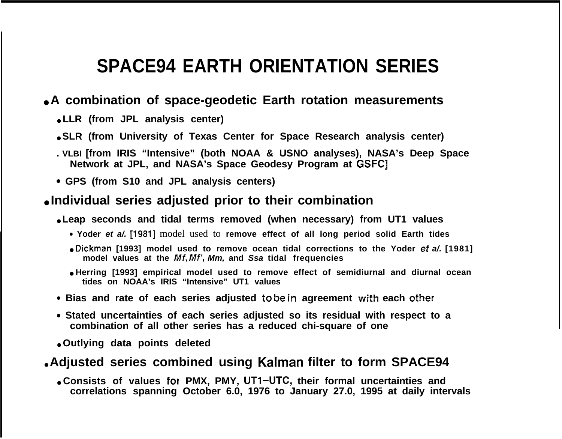### **SPACE94 EARTH ORIENTATION SERIES**

#### ● **A combination of space-geodetic Earth rotation measurements**

- **LLR (from JPL analysis center)**
- **SLR** (from University of Texas Center for Space Research analysis center)
- **. VLBI [from IRIS "Intensive" (both NOAA & USNO analyses), NASA's Deep Space Network at JPL, and NASA's Space Geodesy Program at GSFC]**
- **c GPS (from S10 and JPL analysis centers)**

#### ● **Individual series adjusted prior to their combination**

#### ● **Leap seconds and tidal terms removed (when necessary) from UT1 values**

- **" Yoder et a/.** [1981] model used to **remove effect of all long period solid Earth tides**
- **Dickman [1993] model used to remove ocean tidal corrections to the Yoder et a/. [1981] model values at the Mf, Mf', Mm, and Ssa tidal frequencies**
- **Herring [1993] empirical model used to remove effect of semidiurnal and diurnal ocean tides on NOAA's IRIS "Intensive" UT1 values**
- **" Bias and rate of each series adjusted to be in agreement with each other**
- **" Stated uncertainties of each series adjusted so its residual with respect to a combination of all other series has a reduced chi-square of one**
- **Outlying data points deleted**

#### ● **Adjusted series combined using Kalman filter to form SPACE94**

● **Consists of values fol PMX, PMY, UTI–UTC, their formal uncertainties and correlations spanning October 6.0, 1976 to January 27.0, 1995 at daily intervals**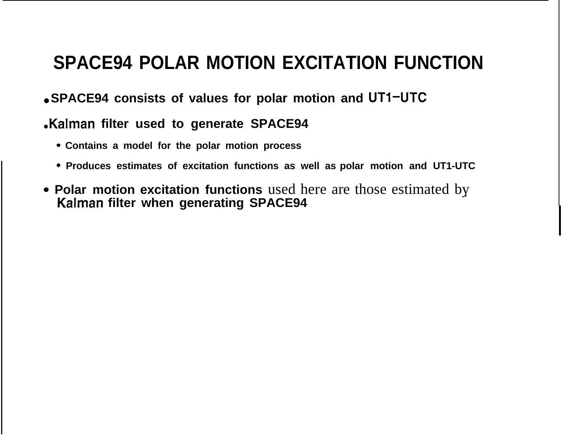### **SPACE94 POLAR MOTION EXCITATION FUNCTION**

● **SPACE94 consists of values for polar motion and UTI–UTC**

### **Kalman filter used to generate SPACE94**

- **" Contains a model for the polar motion process**
- **" Produces estimates of excitation functions as well as polar motion and UT1-UTC**
- Polar motion excitation functions used here are those estimated by **Kalman filter when generating SPACE94**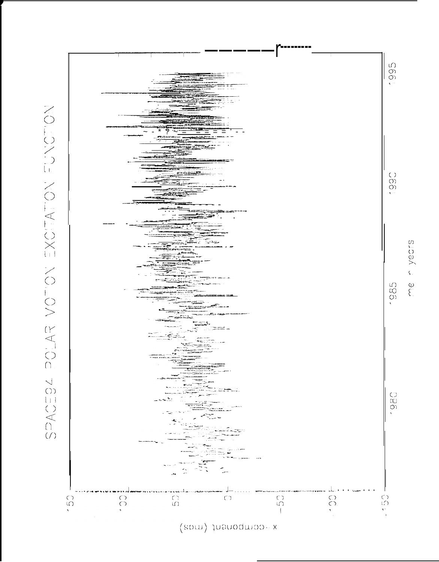



yedrs  $\sum_{i=1}^{\infty}$ 

 $\boldsymbol{\zeta}$  .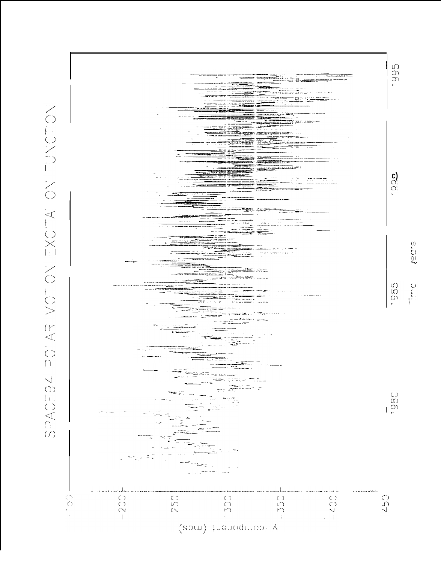

 $\binom{r}{k}$  $\tilde{\mathcal{O}}$  $\sum$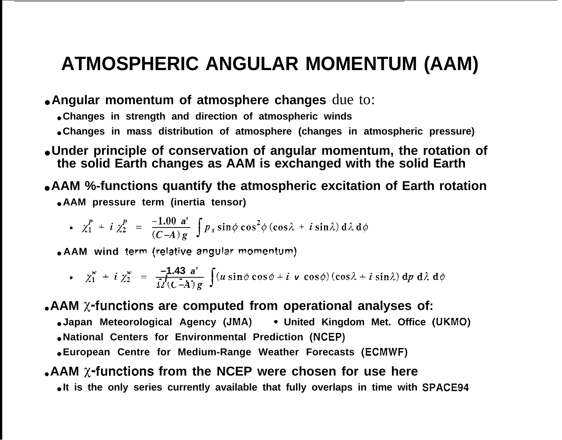### **ATMOSPHERIC ANGULAR MOMENTUM (AAM)**

● **Angular momentum of atmosphere changes** due to:

● **Changes in strength and direction of atmospheric winds**

- **Changes in mass distribution of atmosphere (changes in atmospheric pressure)**
- **Under principle of conservation of angular momentum, the rotation of the solid Earth changes as AAM is exchanged with the solid Earth**
- **AAM %-functions quantify the atmospheric excitation of Earth rotation** ● **AAM pressure term (inertia tensor)**

• 
$$
\chi_1^P + i \chi_2^P = \frac{-1.00 \text{ a}^4}{(C-A)g} \int p_s \sin \phi \cos^2 \phi (\cos \lambda + i \sin \lambda) d\lambda d\phi
$$

● **AAM wind term (re!ative angular momentum)**

• 
$$
\chi_1^w + i \chi_2^w = \frac{-1.43 a^3}{\Omega'(C-A) g} \int (u \sin \phi \cos \phi + i \mathbf{v} \cos \phi) (\cos \lambda + i \sin \lambda) dp d\lambda d\phi
$$

**AAM x-functions are computed from operational analyses of:** 

● **Japan Meteorological Agency (JMA) " United Kingdom Met. Office (UKMO)**

● **National Centers for Environmental Prediction (NCEP)**

● **European Centre for Medium-Range Weather Forecasts (ECMWF)**

#### **• AAM**  $\chi$ **-functions from the NCEP were chosen for use here**

● **It is the only series currently available that fully overlaps in time with SPACE94**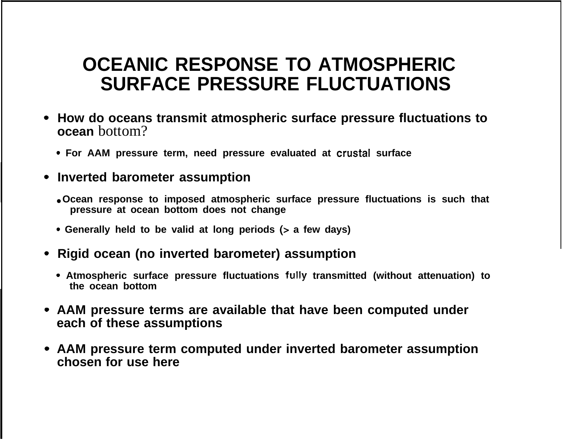### **OCEANIC RESPONSE TO ATMOSPHERIC SURFACE PRESSURE FLUCTUATIONS**

- **How do oceans transmit atmospheric surface pressure fluctuations to ocean** bottom?
	- **Q For AAM pressure term, need pressure evaluated at crustal surface**
- **Inverted barometer assumption**
	- **Ocean response to imposed atmospheric surface pressure fluctuations is such that pressure at ocean bottom does not change**
	- **Q Generally held to be valid at long periods (> a few days)**
- **Rigid ocean (no inverted barometer) assumption**
	- **" Atmospheric surface pressure fluctuations tu!!y transmitted (without attenuation) to the ocean bottom**
- **AAM pressure terms are available that have been computed under each of these assumptions**
- **AAM pressure term computed under inverted barometer assumption chosen for use here**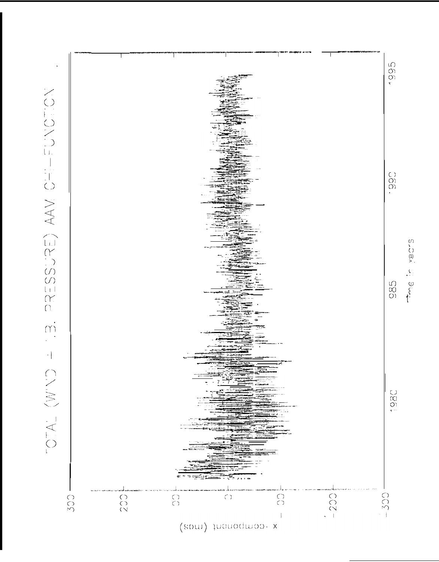

S<br>(1)<br>> .  $\frac{1}{2}$   $\frac{1}{2}$   $\frac{1}{2}$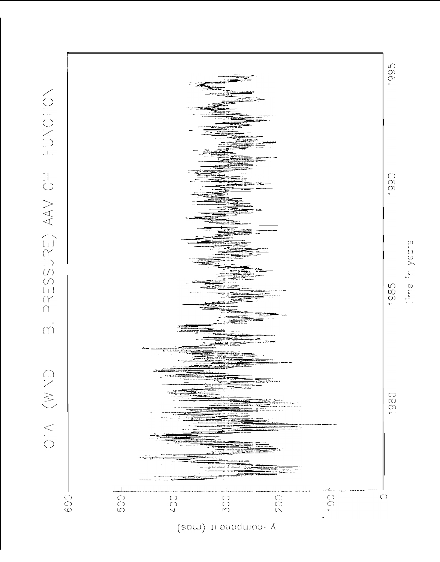



sand, al

YOUNGEY HO VAN (ESCSESSE)  $\overline{N}$ OTA (W YD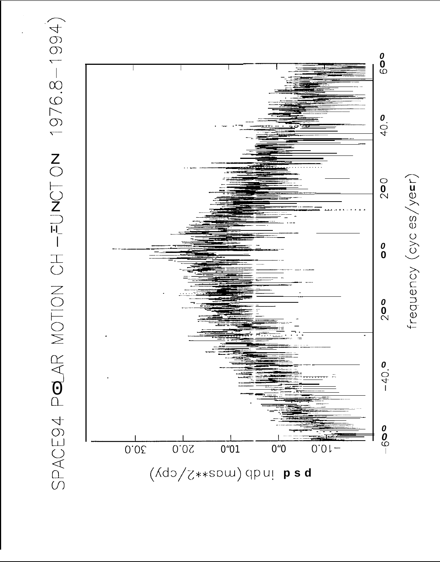

frequency (cyc es/yerr)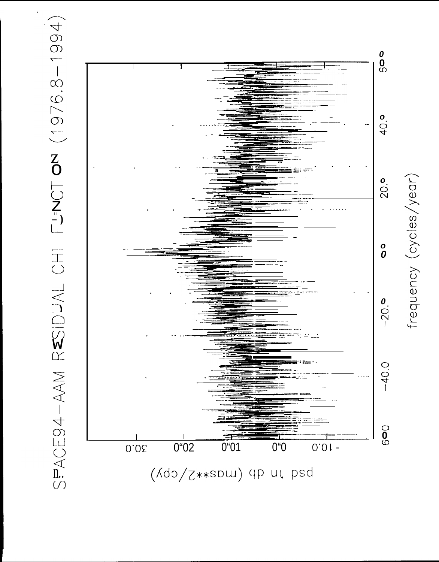

frequency (cycles/year)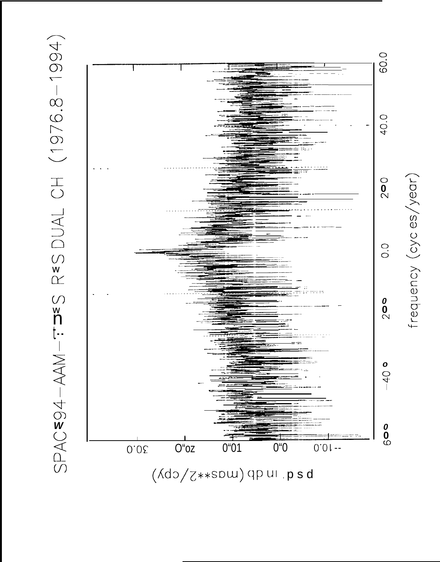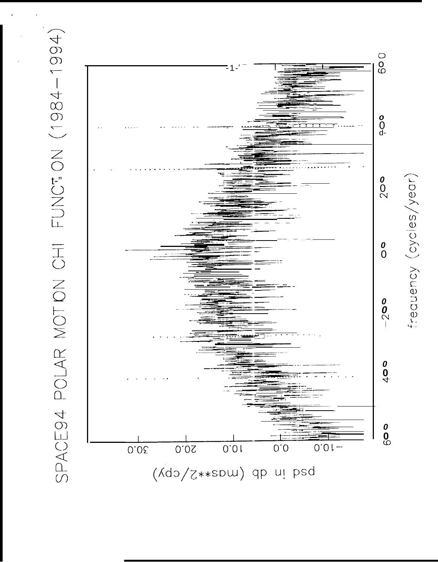

frequency (cycles/year)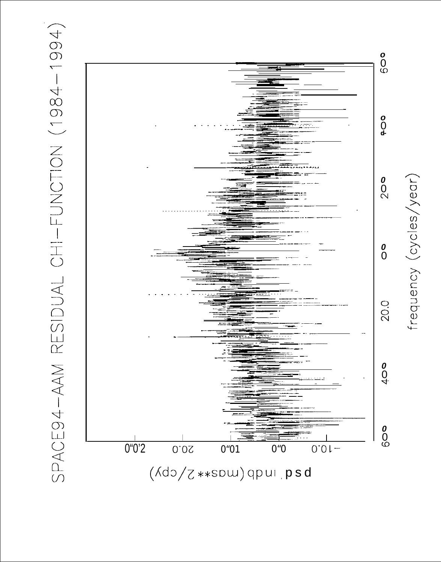



frequency (cycles/year)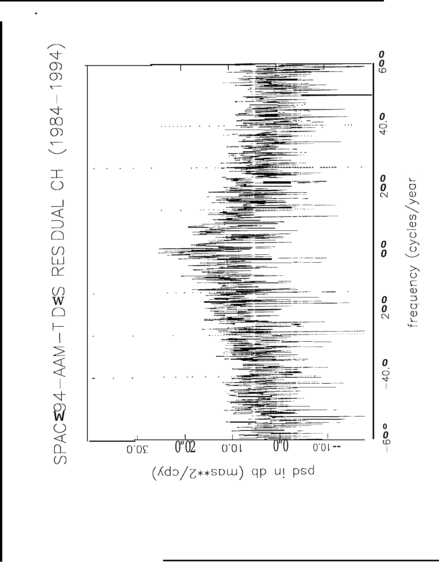



frequency (cycles/year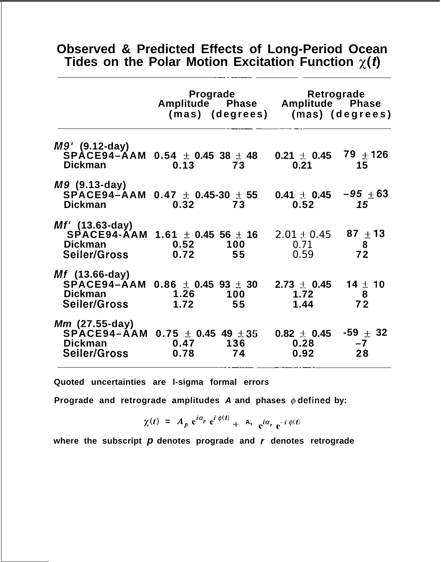#### **Observed & Predicted Effects of Long-Period Ocean** Tides on the Polar Motion Excitation Function  $\chi(t)$

—-- —-—

|                                                                                                                         | Amplitude Phase Amplitude Phase<br>(mas) (degrees) |           | Prograde Retrograde<br>(mas) (degrees) |                                       |
|-------------------------------------------------------------------------------------------------------------------------|----------------------------------------------------|-----------|----------------------------------------|---------------------------------------|
| $M9'$ (9.12-day)<br>SPACE94-AAM 0.54 $\pm$ 0.45 38 $\pm$ 48<br><b>Dickman</b>                                           | 0.13                                               | 73        | $0.21 \pm 0.45$ 79 $\pm$ 126<br>0.21   | 15                                    |
| $M9$ (9.13-day)<br>SPACE94-AAM $0.47 \pm 0.45$ -30 $\pm 55$<br><b>Dickman</b>                                           | 0.32                                               | 73        | 0.41 $\pm$ 0.45 $-95$ $\pm$ 63<br>0.52 | 15                                    |
| <i>Mf'</i> (13.63-day)<br>SPACE94-AAM 1.61 ± 0.45 56 ± 16 $2.01 \pm 0.45$ 87 $\pm$ 13<br><b>Dickman</b><br>Seiler/Gross | 0.52<br>0.72                                       | 100<br>55 | 0.71<br>0.59                           | 8<br>72                               |
| $Mf$ (13.66-day)<br>SPACE94-AAM 0.86 $\pm$ 0.45 93 $\pm$ 30 2.73 $\pm$ 0.45<br><b>Dickman</b><br><b>Seiler/Gross</b>    | 1.26<br>1.72                                       | 100<br>55 | 1.72<br>1.44                           | $14 \pm 10$<br>$\blacksquare$ 8<br>72 |
| <i>Mm</i> (27.55-day)<br>$SPACE94 - AAM$ 0.75 $\pm$ 0.45 49 $\pm 35$<br><b>Dickman</b><br><b>Seiler/Gross</b>           | 0.47<br>0.78                                       | 136<br>74 | $0.82 \pm 0.45$<br>0.28<br>0.92        | -59 $\pm$ 32<br>$-7$<br>28            |

**Quoted uncertainties are l-sigma formal errors**

**Prograde and retrograde amplitudes A and phases @ clefined by:**

 $\chi(t) = A_p e^{i\alpha_p} e^{i\phi(t)} + A_p e^{i\alpha_r} e^{-i\phi(t)}$ 

**where the subscript p denotes prograde and r denotes retrograde**